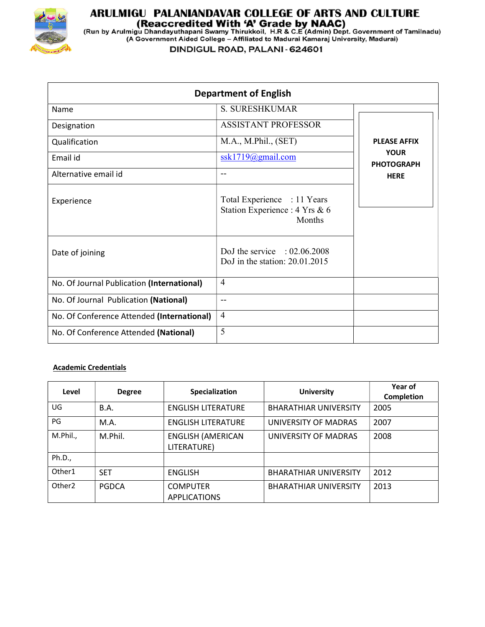

# **ARULMIGU PALANIANDAVAR COLLEGE OF ARTS AND CULTURE<br>(Reaccredited With 'A' Grade by NAAC)<br>(Run by Arulmigu Dhandayuthapani Swamy Thirukkoil, H.R & C.E (Admin) Dept. Government of Tamilnadu)<br>(A Government Aided College – Af**

DINDIGUL ROAD, PALANI - 624601

| <b>Department of English</b>               |                                                                         |                                  |  |  |
|--------------------------------------------|-------------------------------------------------------------------------|----------------------------------|--|--|
| Name                                       | <b>S. SURESHKUMAR</b>                                                   |                                  |  |  |
| Designation                                | <b>ASSISTANT PROFESSOR</b>                                              |                                  |  |  |
| Qualification                              | M.A., M.Phil., (SET)                                                    | <b>PLEASE AFFIX</b>              |  |  |
| Email id                                   | ssk1719@gmail.com                                                       | <b>YOUR</b><br><b>PHOTOGRAPH</b> |  |  |
| Alternative email id                       | --                                                                      | <b>HERE</b>                      |  |  |
| Experience                                 | Total Experience : 11 Years<br>Station Experience : 4 Yrs & 6<br>Months |                                  |  |  |
| Date of joining                            | DoJ the service : $02.06.2008$<br>DoJ in the station: $20.01.2015$      |                                  |  |  |
| No. Of Journal Publication (International) | $\overline{4}$                                                          |                                  |  |  |
| No. Of Journal Publication (National)      | $-$                                                                     |                                  |  |  |
| No. Of Conference Attended (International) | $\overline{4}$                                                          |                                  |  |  |
| No. Of Conference Attended (National)      | 5                                                                       |                                  |  |  |

## Academic Credentials

| Level              | <b>Degree</b> | Specialization                          | <b>University</b>            | Year of<br>Completion |
|--------------------|---------------|-----------------------------------------|------------------------------|-----------------------|
| UG                 | <b>B.A.</b>   | <b>ENGLISH LITERATURE</b>               | <b>BHARATHIAR UNIVERSITY</b> | 2005                  |
| PG                 | M.A.          | <b>ENGLISH LITERATURE</b>               | UNIVERSITY OF MADRAS         | 2007                  |
| M.Phil.,           | M.Phil.       | <b>ENGLISH (AMERICAN</b><br>LITERATURE) | UNIVERSITY OF MADRAS         | 2008                  |
| Ph.D.,             |               |                                         |                              |                       |
| Other1             | <b>SET</b>    | <b>ENGLISH</b>                          | <b>BHARATHIAR UNIVERSITY</b> | 2012                  |
| Other <sub>2</sub> | <b>PGDCA</b>  | <b>COMPUTER</b><br><b>APPLICATIONS</b>  | <b>BHARATHIAR UNIVERSITY</b> | 2013                  |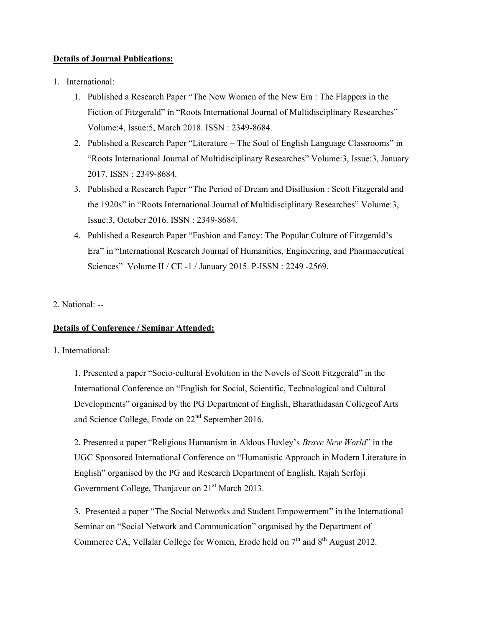# Details of Journal Publications:

- 1. International:
	- 1. Published a Research Paper "The New Women of the New Era : The Flappers in the Fiction of Fitzgerald" in "Roots International Journal of Multidisciplinary Researches" Volume:4, Issue:5, March 2018. ISSN : 2349-8684.
	- 2. Published a Research Paper "Literature The Soul of English Language Classrooms" in "Roots International Journal of Multidisciplinary Researches" Volume:3, Issue:3, January 2017. ISSN : 2349-8684.
	- 3. Published a Research Paper "The Period of Dream and Disillusion : Scott Fitzgerald and the 1920s" in "Roots International Journal of Multidisciplinary Researches" Volume:3, Issue:3, October 2016. ISSN : 2349-8684.
	- 4. Published a Research Paper "Fashion and Fancy: The Popular Culture of Fitzgerald's Era" in "International Research Journal of Humanities, Engineering, and Pharmaceutical Sciences" Volume II / CE -1 / January 2015. P-ISSN : 2249 -2569.

## 2. National: --

## Details of Conference / Seminar Attended:

## 1. International:

1. Presented a paper "Socio-cultural Evolution in the Novels of Scott Fitzgerald" in the International Conference on "English for Social, Scientific, Technological and Cultural Developments" organised by the PG Department of English, Bharathidasan Collegeof Arts and Science College, Erode on 22<sup>nd</sup> September 2016.

2. Presented a paper "Religious Humanism in Aldous Huxley's Brave New World" in the UGC Sponsored International Conference on "Humanistic Approach in Modern Literature in English" organised by the PG and Research Department of English, Rajah Serfoji Government College, Thanjavur on  $21<sup>st</sup>$  March 2013.

3. Presented a paper "The Social Networks and Student Empowerment" in the International Seminar on "Social Network and Communication" organised by the Department of Commerce CA, Vellalar College for Women, Erode held on  $7<sup>th</sup>$  and  $8<sup>th</sup>$  August 2012.